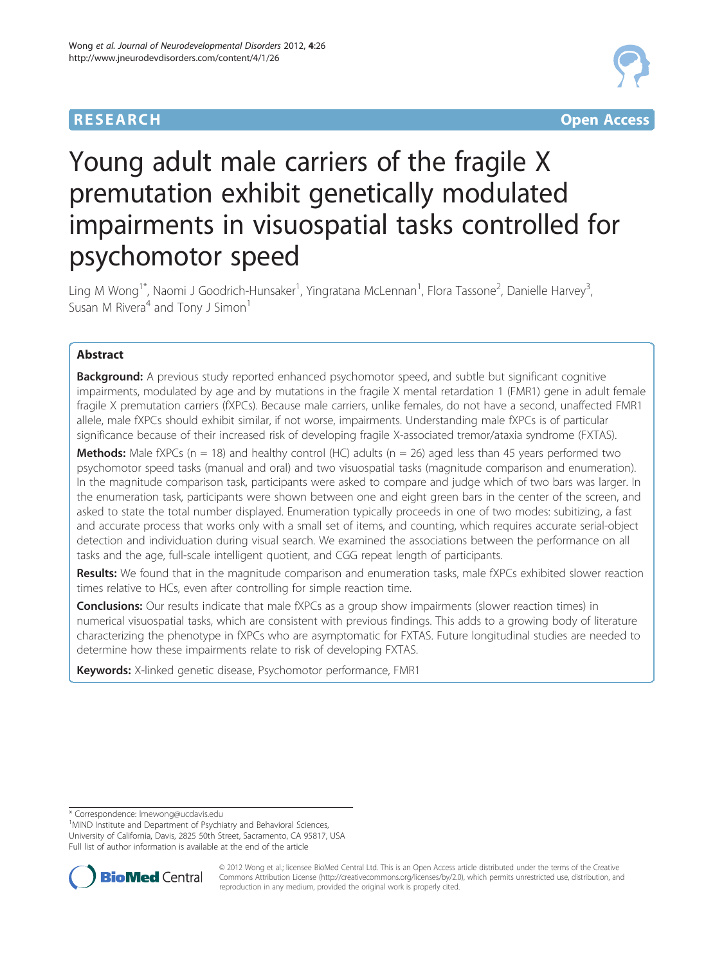# **RESEARCH CHILD CONTROL** CONTROL CONTROL CONTROL CONTROL CONTROL CONTROL CONTROL CONTROL CONTROL CONTROL CONTROL CONTROL CONTROL CONTROL CONTROL CONTROL CONTROL CONTROL CONTROL CONTROL CONTROL CONTROL CONTROL CONTROL CONTR



# Young adult male carriers of the fragile X premutation exhibit genetically modulated impairments in visuospatial tasks controlled for psychomotor speed

Ling M Wong<sup>1\*</sup>, Naomi J Goodrich-Hunsaker<sup>1</sup>, Yingratana McLennan<sup>1</sup>, Flora Tassone<sup>2</sup>, Danielle Harvey<sup>3</sup> , Susan M Rivera<sup>4</sup> and Tony J Simon<sup>1</sup>

# Abstract

Background: A previous study reported enhanced psychomotor speed, and subtle but significant cognitive impairments, modulated by age and by mutations in the fragile X mental retardation 1 (FMR1) gene in adult female fragile X premutation carriers (fXPCs). Because male carriers, unlike females, do not have a second, unaffected FMR1 allele, male fXPCs should exhibit similar, if not worse, impairments. Understanding male fXPCs is of particular significance because of their increased risk of developing fragile X-associated tremor/ataxia syndrome (FXTAS).

**Methods:** Male fXPCs (n = 18) and healthy control (HC) adults (n = 26) aged less than 45 years performed two psychomotor speed tasks (manual and oral) and two visuospatial tasks (magnitude comparison and enumeration). In the magnitude comparison task, participants were asked to compare and judge which of two bars was larger. In the enumeration task, participants were shown between one and eight green bars in the center of the screen, and asked to state the total number displayed. Enumeration typically proceeds in one of two modes: subitizing, a fast and accurate process that works only with a small set of items, and counting, which requires accurate serial-object detection and individuation during visual search. We examined the associations between the performance on all tasks and the age, full-scale intelligent quotient, and CGG repeat length of participants.

Results: We found that in the magnitude comparison and enumeration tasks, male fXPCs exhibited slower reaction times relative to HCs, even after controlling for simple reaction time.

**Conclusions:** Our results indicate that male fXPCs as a group show impairments (slower reaction times) in numerical visuospatial tasks, which are consistent with previous findings. This adds to a growing body of literature characterizing the phenotype in fXPCs who are asymptomatic for FXTAS. Future longitudinal studies are needed to determine how these impairments relate to risk of developing FXTAS.

Keywords: X-linked genetic disease, Psychomotor performance, FMR1

\* Correspondence: [lmewong@ucdavis.edu](mailto:lmewong@ucdavis.edu) <sup>1</sup>

<sup>1</sup>MIND Institute and Department of Psychiatry and Behavioral Sciences, University of California, Davis, 2825 50th Street, Sacramento, CA 95817, USA

Full list of author information is available at the end of the article



© 2012 Wong et al.; licensee BioMed Central Ltd. This is an Open Access article distributed under the terms of the Creative Commons Attribution License [\(http://creativecommons.org/licenses/by/2.0\)](http://creativecommons.org/licenses/by/2.0), which permits unrestricted use, distribution, and reproduction in any medium, provided the original work is properly cited.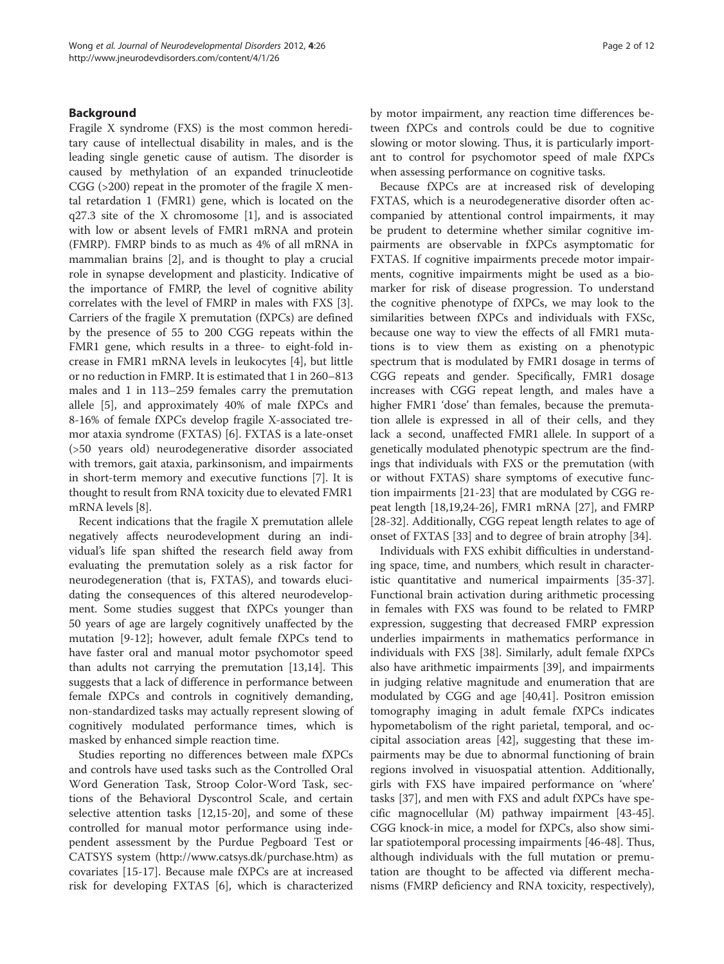# Background

Fragile X syndrome (FXS) is the most common hereditary cause of intellectual disability in males, and is the leading single genetic cause of autism. The disorder is caused by methylation of an expanded trinucleotide CGG (>200) repeat in the promoter of the fragile X mental retardation 1 (FMR1) gene, which is located on the q27.3 site of the X chromosome [[1\]](#page-10-0), and is associated with low or absent levels of FMR1 mRNA and protein (FMRP). FMRP binds to as much as 4% of all mRNA in mammalian brains [\[2](#page-10-0)], and is thought to play a crucial role in synapse development and plasticity. Indicative of the importance of FMRP, the level of cognitive ability correlates with the level of FMRP in males with FXS [\[3](#page-10-0)]. Carriers of the fragile X premutation (fXPCs) are defined by the presence of 55 to 200 CGG repeats within the FMR1 gene, which results in a three- to eight-fold increase in FMR1 mRNA levels in leukocytes [[4\]](#page-10-0), but little or no reduction in FMRP. It is estimated that 1 in 260–813 males and 1 in 113–259 females carry the premutation allele [[5\]](#page-10-0), and approximately 40% of male fXPCs and 8-16% of female fXPCs develop fragile X-associated tremor ataxia syndrome (FXTAS) [\[6](#page-10-0)]. FXTAS is a late-onset (>50 years old) neurodegenerative disorder associated with tremors, gait ataxia, parkinsonism, and impairments in short-term memory and executive functions [[7\]](#page-10-0). It is thought to result from RNA toxicity due to elevated FMR1 mRNA levels [[8\]](#page-10-0).

Recent indications that the fragile X premutation allele negatively affects neurodevelopment during an individual's life span shifted the research field away from evaluating the premutation solely as a risk factor for neurodegeneration (that is, FXTAS), and towards elucidating the consequences of this altered neurodevelopment. Some studies suggest that fXPCs younger than 50 years of age are largely cognitively unaffected by the mutation [\[9-12](#page-10-0)]; however, adult female fXPCs tend to have faster oral and manual motor psychomotor speed than adults not carrying the premutation [[13,14\]](#page-10-0). This suggests that a lack of difference in performance between female fXPCs and controls in cognitively demanding, non-standardized tasks may actually represent slowing of cognitively modulated performance times, which is masked by enhanced simple reaction time.

Studies reporting no differences between male fXPCs and controls have used tasks such as the Controlled Oral Word Generation Task, Stroop Color-Word Task, sections of the Behavioral Dyscontrol Scale, and certain selective attention tasks [\[12,15](#page-10-0)-[20\]](#page-10-0), and some of these controlled for manual motor performance using independent assessment by the Purdue Pegboard Test or CATSYS system [\(http://www.catsys.dk/purchase.htm](http://www.catsys.dk/purchase.htm)) as covariates [[15-17](#page-10-0)]. Because male fXPCs are at increased risk for developing FXTAS [\[6](#page-10-0)], which is characterized by motor impairment, any reaction time differences between fXPCs and controls could be due to cognitive slowing or motor slowing. Thus, it is particularly important to control for psychomotor speed of male fXPCs when assessing performance on cognitive tasks.

Because fXPCs are at increased risk of developing FXTAS, which is a neurodegenerative disorder often accompanied by attentional control impairments, it may be prudent to determine whether similar cognitive impairments are observable in fXPCs asymptomatic for FXTAS. If cognitive impairments precede motor impairments, cognitive impairments might be used as a biomarker for risk of disease progression. To understand the cognitive phenotype of fXPCs, we may look to the similarities between fXPCs and individuals with FXSc, because one way to view the effects of all FMR1 mutations is to view them as existing on a phenotypic spectrum that is modulated by FMR1 dosage in terms of CGG repeats and gender. Specifically, FMR1 dosage increases with CGG repeat length, and males have a higher FMR1 'dose' than females, because the premutation allele is expressed in all of their cells, and they lack a second, unaffected FMR1 allele. In support of a genetically modulated phenotypic spectrum are the findings that individuals with FXS or the premutation (with or without FXTAS) share symptoms of executive function impairments [\[21](#page-11-0)-[23\]](#page-11-0) that are modulated by CGG repeat length [\[18,19,](#page-10-0)[24-26](#page-11-0)], FMR1 mRNA [\[27](#page-11-0)], and FMRP [[28-32](#page-11-0)]. Additionally, CGG repeat length relates to age of onset of FXTAS [\[33](#page-11-0)] and to degree of brain atrophy [[34\]](#page-11-0).

Individuals with FXS exhibit difficulties in understanding space, time, and numbers, which result in characteristic quantitative and numerical impairments [\[35-37](#page-11-0)]. Functional brain activation during arithmetic processing in females with FXS was found to be related to FMRP expression, suggesting that decreased FMRP expression underlies impairments in mathematics performance in individuals with FXS [[38\]](#page-11-0). Similarly, adult female fXPCs also have arithmetic impairments [[39\]](#page-11-0), and impairments in judging relative magnitude and enumeration that are modulated by CGG and age [[40](#page-11-0),[41](#page-11-0)]. Positron emission tomography imaging in adult female fXPCs indicates hypometabolism of the right parietal, temporal, and occipital association areas [[42](#page-11-0)], suggesting that these impairments may be due to abnormal functioning of brain regions involved in visuospatial attention. Additionally, girls with FXS have impaired performance on 'where' tasks [\[37](#page-11-0)], and men with FXS and adult fXPCs have specific magnocellular (M) pathway impairment [\[43-45](#page-11-0)]. CGG knock-in mice, a model for fXPCs, also show similar spatiotemporal processing impairments [\[46](#page-11-0)-[48\]](#page-11-0). Thus, although individuals with the full mutation or premutation are thought to be affected via different mechanisms (FMRP deficiency and RNA toxicity, respectively),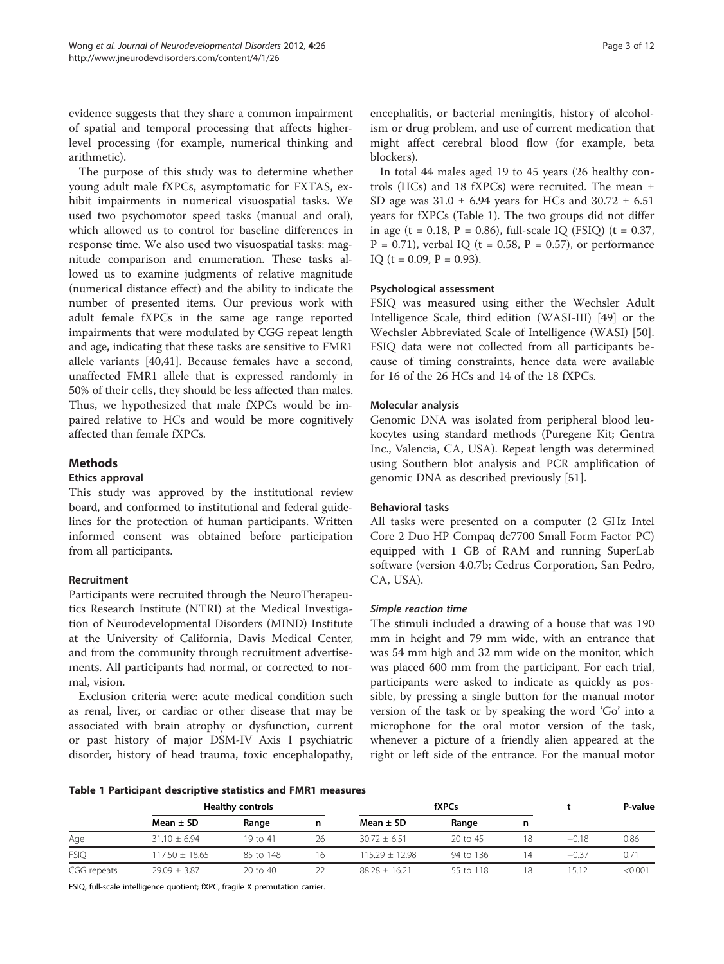<span id="page-2-0"></span>evidence suggests that they share a common impairment of spatial and temporal processing that affects higherlevel processing (for example, numerical thinking and arithmetic).

The purpose of this study was to determine whether young adult male fXPCs, asymptomatic for FXTAS, exhibit impairments in numerical visuospatial tasks. We used two psychomotor speed tasks (manual and oral), which allowed us to control for baseline differences in response time. We also used two visuospatial tasks: magnitude comparison and enumeration. These tasks allowed us to examine judgments of relative magnitude (numerical distance effect) and the ability to indicate the number of presented items. Our previous work with adult female fXPCs in the same age range reported impairments that were modulated by CGG repeat length and age, indicating that these tasks are sensitive to FMR1 allele variants [[40,41](#page-11-0)]. Because females have a second, unaffected FMR1 allele that is expressed randomly in 50% of their cells, they should be less affected than males. Thus, we hypothesized that male fXPCs would be impaired relative to HCs and would be more cognitively affected than female fXPCs.

# Methods

#### Ethics approval

This study was approved by the institutional review board, and conformed to institutional and federal guidelines for the protection of human participants. Written informed consent was obtained before participation from all participants.

# Recruitment

Participants were recruited through the NeuroTherapeutics Research Institute (NTRI) at the Medical Investigation of Neurodevelopmental Disorders (MIND) Institute at the University of California, Davis Medical Center, and from the community through recruitment advertisements. All participants had normal, or corrected to normal, vision.

Exclusion criteria were: acute medical condition such as renal, liver, or cardiac or other disease that may be associated with brain atrophy or dysfunction, current or past history of major DSM-IV Axis I psychiatric disorder, history of head trauma, toxic encephalopathy, encephalitis, or bacterial meningitis, history of alcoholism or drug problem, and use of current medication that might affect cerebral blood flow (for example, beta blockers).

In total 44 males aged 19 to 45 years (26 healthy controls (HCs) and 18 fXPCs) were recruited. The mean  $\pm$ SD age was  $31.0 \pm 6.94$  years for HCs and  $30.72 \pm 6.51$ years for fXPCs (Table 1). The two groups did not differ in age (t = 0.18, P = 0.86), full-scale IQ (FSIQ) (t = 0.37,  $P = 0.71$ ), verbal IQ (t = 0.58, P = 0.57), or performance IQ (t =  $0.09$ , P =  $0.93$ ).

### Psychological assessment

FSIQ was measured using either the Wechsler Adult Intelligence Scale, third edition (WASI-III) [[49](#page-11-0)] or the Wechsler Abbreviated Scale of Intelligence (WASI) [\[50](#page-11-0)]. FSIQ data were not collected from all participants because of timing constraints, hence data were available for 16 of the 26 HCs and 14 of the 18 fXPCs.

# Molecular analysis

Genomic DNA was isolated from peripheral blood leukocytes using standard methods (Puregene Kit; Gentra Inc., Valencia, CA, USA). Repeat length was determined using Southern blot analysis and PCR amplification of genomic DNA as described previously [[51](#page-11-0)].

#### Behavioral tasks

All tasks were presented on a computer (2 GHz Intel Core 2 Duo HP Compaq dc7700 Small Form Factor PC) equipped with 1 GB of RAM and running SuperLab software (version 4.0.7b; Cedrus Corporation, San Pedro, CA, USA).

#### Simple reaction time

The stimuli included a drawing of a house that was 190 mm in height and 79 mm wide, with an entrance that was 54 mm high and 32 mm wide on the monitor, which was placed 600 mm from the participant. For each trial, participants were asked to indicate as quickly as possible, by pressing a single button for the manual motor version of the task or by speaking the word 'Go' into a microphone for the oral motor version of the task, whenever a picture of a friendly alien appeared at the right or left side of the entrance. For the manual motor

Table 1 Participant descriptive statistics and FMR1 measures

|             | <b>Healthy controls</b> |              |    | fXPCs            |           |    |         | P-value |
|-------------|-------------------------|--------------|----|------------------|-----------|----|---------|---------|
|             | Mean $\pm$ SD           | Range        | n  | Mean $\pm$ SD    | Range     | n  |         |         |
| Age         | $31.10 \pm 6.94$        | 19 to 41     | 26 | $30.72 \pm 6.51$ | 20 to 45  | 18 | $-0.18$ | 0.86    |
| <b>FSIQ</b> | $117.50 + 18.65$        | 85 to 148    | 16 | $115.29 + 12.98$ | 94 to 136 | 14 | $-0.37$ | 0.71    |
| CGG repeats | $79.09 + 3.87$          | $20$ to $40$ | 22 | $88.28 + 16.21$  | 55 to 118 | 18 | 15.12   | < 0.001 |

FSIQ, full-scale intelligence quotient; fXPC, fragile X premutation carrier.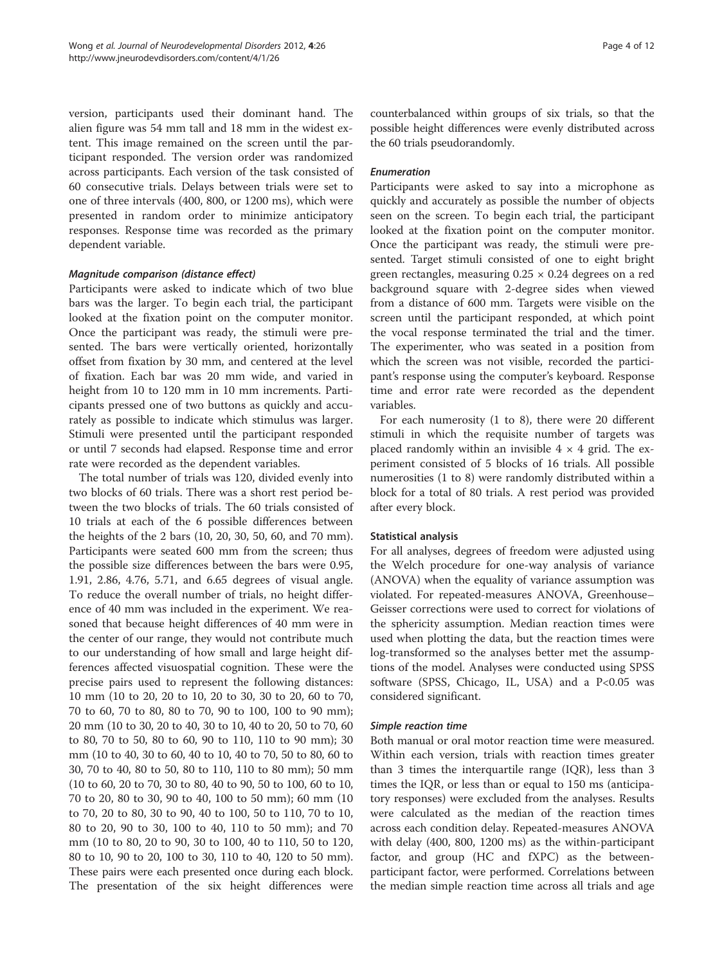version, participants used their dominant hand. The alien figure was 54 mm tall and 18 mm in the widest extent. This image remained on the screen until the participant responded. The version order was randomized across participants. Each version of the task consisted of 60 consecutive trials. Delays between trials were set to one of three intervals (400, 800, or 1200 ms), which were presented in random order to minimize anticipatory responses. Response time was recorded as the primary dependent variable.

#### Magnitude comparison (distance effect)

Participants were asked to indicate which of two blue bars was the larger. To begin each trial, the participant looked at the fixation point on the computer monitor. Once the participant was ready, the stimuli were presented. The bars were vertically oriented, horizontally offset from fixation by 30 mm, and centered at the level of fixation. Each bar was 20 mm wide, and varied in height from 10 to 120 mm in 10 mm increments. Participants pressed one of two buttons as quickly and accurately as possible to indicate which stimulus was larger. Stimuli were presented until the participant responded or until 7 seconds had elapsed. Response time and error rate were recorded as the dependent variables.

The total number of trials was 120, divided evenly into two blocks of 60 trials. There was a short rest period between the two blocks of trials. The 60 trials consisted of 10 trials at each of the 6 possible differences between the heights of the 2 bars (10, 20, 30, 50, 60, and 70 mm). Participants were seated 600 mm from the screen; thus the possible size differences between the bars were 0.95, 1.91, 2.86, 4.76, 5.71, and 6.65 degrees of visual angle. To reduce the overall number of trials, no height difference of 40 mm was included in the experiment. We reasoned that because height differences of 40 mm were in the center of our range, they would not contribute much to our understanding of how small and large height differences affected visuospatial cognition. These were the precise pairs used to represent the following distances: 10 mm (10 to 20, 20 to 10, 20 to 30, 30 to 20, 60 to 70, 70 to 60, 70 to 80, 80 to 70, 90 to 100, 100 to 90 mm); 20 mm (10 to 30, 20 to 40, 30 to 10, 40 to 20, 50 to 70, 60 to 80, 70 to 50, 80 to 60, 90 to 110, 110 to 90 mm); 30 mm (10 to 40, 30 to 60, 40 to 10, 40 to 70, 50 to 80, 60 to 30, 70 to 40, 80 to 50, 80 to 110, 110 to 80 mm); 50 mm (10 to 60, 20 to 70, 30 to 80, 40 to 90, 50 to 100, 60 to 10, 70 to 20, 80 to 30, 90 to 40, 100 to 50 mm); 60 mm (10 to 70, 20 to 80, 30 to 90, 40 to 100, 50 to 110, 70 to 10, 80 to 20, 90 to 30, 100 to 40, 110 to 50 mm); and 70 mm (10 to 80, 20 to 90, 30 to 100, 40 to 110, 50 to 120, 80 to 10, 90 to 20, 100 to 30, 110 to 40, 120 to 50 mm). These pairs were each presented once during each block. The presentation of the six height differences were

counterbalanced within groups of six trials, so that the possible height differences were evenly distributed across the 60 trials pseudorandomly.

#### Enumeration

Participants were asked to say into a microphone as quickly and accurately as possible the number of objects seen on the screen. To begin each trial, the participant looked at the fixation point on the computer monitor. Once the participant was ready, the stimuli were presented. Target stimuli consisted of one to eight bright green rectangles, measuring  $0.25 \times 0.24$  degrees on a red background square with 2-degree sides when viewed from a distance of 600 mm. Targets were visible on the screen until the participant responded, at which point the vocal response terminated the trial and the timer. The experimenter, who was seated in a position from which the screen was not visible, recorded the participant's response using the computer's keyboard. Response time and error rate were recorded as the dependent variables.

For each numerosity (1 to 8), there were 20 different stimuli in which the requisite number of targets was placed randomly within an invisible  $4 \times 4$  grid. The experiment consisted of 5 blocks of 16 trials. All possible numerosities (1 to 8) were randomly distributed within a block for a total of 80 trials. A rest period was provided after every block.

#### Statistical analysis

For all analyses, degrees of freedom were adjusted using the Welch procedure for one-way analysis of variance (ANOVA) when the equality of variance assumption was violated. For repeated-measures ANOVA, Greenhouse– Geisser corrections were used to correct for violations of the sphericity assumption. Median reaction times were used when plotting the data, but the reaction times were log-transformed so the analyses better met the assumptions of the model. Analyses were conducted using SPSS software (SPSS, Chicago, IL, USA) and a P<0.05 was considered significant.

#### Simple reaction time

Both manual or oral motor reaction time were measured. Within each version, trials with reaction times greater than 3 times the interquartile range (IQR), less than 3 times the IQR, or less than or equal to 150 ms (anticipatory responses) were excluded from the analyses. Results were calculated as the median of the reaction times across each condition delay. Repeated-measures ANOVA with delay (400, 800, 1200 ms) as the within-participant factor, and group (HC and fXPC) as the betweenparticipant factor, were performed. Correlations between the median simple reaction time across all trials and age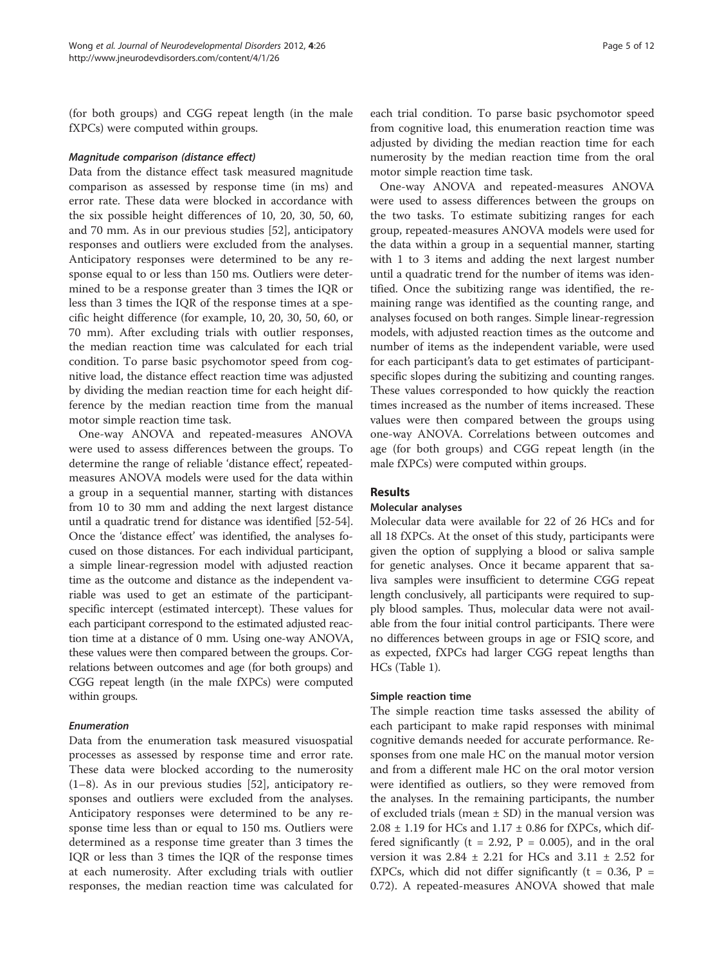(for both groups) and CGG repeat length (in the male fXPCs) were computed within groups.

#### Magnitude comparison (distance effect)

Data from the distance effect task measured magnitude comparison as assessed by response time (in ms) and error rate. These data were blocked in accordance with the six possible height differences of 10, 20, 30, 50, 60, and 70 mm. As in our previous studies [[52\]](#page-11-0), anticipatory responses and outliers were excluded from the analyses. Anticipatory responses were determined to be any response equal to or less than 150 ms. Outliers were determined to be a response greater than 3 times the IQR or less than 3 times the IQR of the response times at a specific height difference (for example, 10, 20, 30, 50, 60, or 70 mm). After excluding trials with outlier responses, the median reaction time was calculated for each trial condition. To parse basic psychomotor speed from cognitive load, the distance effect reaction time was adjusted by dividing the median reaction time for each height difference by the median reaction time from the manual motor simple reaction time task.

One-way ANOVA and repeated-measures ANOVA were used to assess differences between the groups. To determine the range of reliable 'distance effect', repeatedmeasures ANOVA models were used for the data within a group in a sequential manner, starting with distances from 10 to 30 mm and adding the next largest distance until a quadratic trend for distance was identified [[52](#page-11-0)-[54](#page-11-0)]. Once the 'distance effect' was identified, the analyses focused on those distances. For each individual participant, a simple linear-regression model with adjusted reaction time as the outcome and distance as the independent variable was used to get an estimate of the participantspecific intercept (estimated intercept). These values for each participant correspond to the estimated adjusted reaction time at a distance of 0 mm. Using one-way ANOVA, these values were then compared between the groups. Correlations between outcomes and age (for both groups) and CGG repeat length (in the male fXPCs) were computed within groups.

#### Enumeration

Data from the enumeration task measured visuospatial processes as assessed by response time and error rate. These data were blocked according to the numerosity (1–8). As in our previous studies [\[52](#page-11-0)], anticipatory responses and outliers were excluded from the analyses. Anticipatory responses were determined to be any response time less than or equal to 150 ms. Outliers were determined as a response time greater than 3 times the IQR or less than 3 times the IQR of the response times at each numerosity. After excluding trials with outlier responses, the median reaction time was calculated for

each trial condition. To parse basic psychomotor speed from cognitive load, this enumeration reaction time was adjusted by dividing the median reaction time for each numerosity by the median reaction time from the oral motor simple reaction time task.

One-way ANOVA and repeated-measures ANOVA were used to assess differences between the groups on the two tasks. To estimate subitizing ranges for each group, repeated-measures ANOVA models were used for the data within a group in a sequential manner, starting with 1 to 3 items and adding the next largest number until a quadratic trend for the number of items was identified. Once the subitizing range was identified, the remaining range was identified as the counting range, and analyses focused on both ranges. Simple linear-regression models, with adjusted reaction times as the outcome and number of items as the independent variable, were used for each participant's data to get estimates of participantspecific slopes during the subitizing and counting ranges. These values corresponded to how quickly the reaction times increased as the number of items increased. These values were then compared between the groups using one-way ANOVA. Correlations between outcomes and age (for both groups) and CGG repeat length (in the male fXPCs) were computed within groups.

#### Results

#### Molecular analyses

Molecular data were available for 22 of 26 HCs and for all 18 fXPCs. At the onset of this study, participants were given the option of supplying a blood or saliva sample for genetic analyses. Once it became apparent that saliva samples were insufficient to determine CGG repeat length conclusively, all participants were required to supply blood samples. Thus, molecular data were not available from the four initial control participants. There were no differences between groups in age or FSIQ score, and as expected, fXPCs had larger CGG repeat lengths than HCs (Table [1](#page-2-0)).

#### Simple reaction time

The simple reaction time tasks assessed the ability of each participant to make rapid responses with minimal cognitive demands needed for accurate performance. Responses from one male HC on the manual motor version and from a different male HC on the oral motor version were identified as outliers, so they were removed from the analyses. In the remaining participants, the number of excluded trials (mean  $\pm$  SD) in the manual version was  $2.08 \pm 1.19$  for HCs and  $1.17 \pm 0.86$  for fXPCs, which differed significantly ( $t = 2.92$ ,  $P = 0.005$ ), and in the oral version it was  $2.84 \pm 2.21$  for HCs and  $3.11 \pm 2.52$  for fXPCs, which did not differ significantly ( $t = 0.36$ ,  $P =$ 0.72). A repeated-measures ANOVA showed that male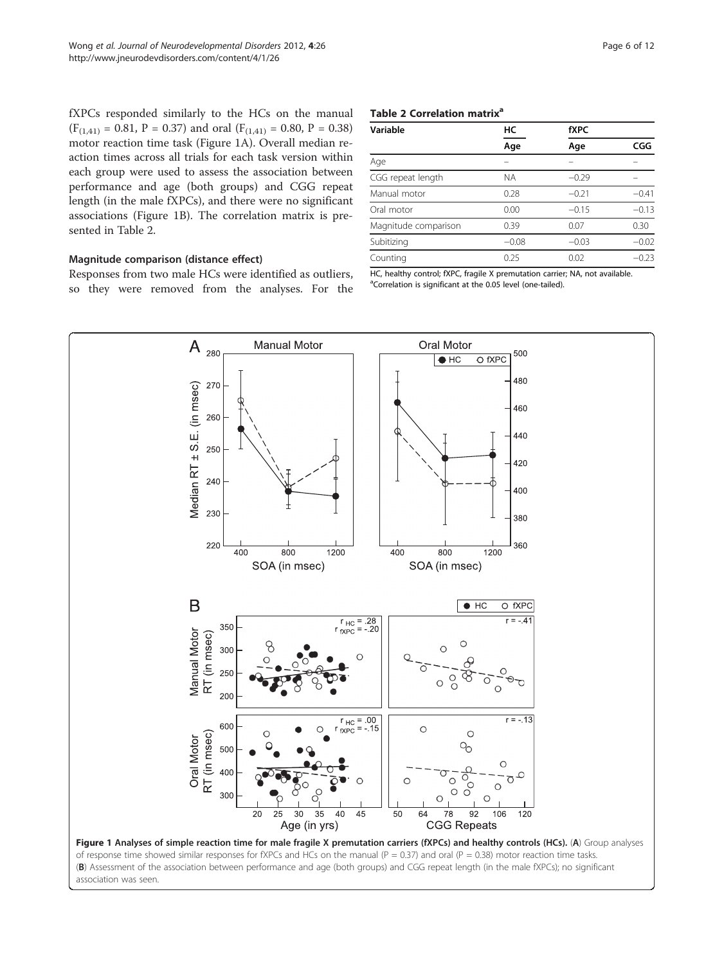<span id="page-5-0"></span>fXPCs responded similarly to the HCs on the manual  $(F<sub>(1,41)</sub> = 0.81, P = 0.37)$  and oral  $(F<sub>(1,41)</sub> = 0.80, P = 0.38)$ motor reaction time task (Figure 1A). Overall median reaction times across all trials for each task version within each group were used to assess the association between performance and age (both groups) and CGG repeat length (in the male fXPCs), and there were no significant associations (Figure 1B). The correlation matrix is presented in Table 2.

# Magnitude comparison (distance effect)

Responses from two male HCs were identified as outliers, so they were removed from the analyses. For the

# Table 2 Correlation matrix<sup>a</sup>

| Variable             | НC        | <b>fXPC</b> |         |  |
|----------------------|-----------|-------------|---------|--|
|                      | Age       | Age         | CGG     |  |
| Age                  |           |             |         |  |
| CGG repeat length    | <b>NA</b> | $-0.29$     |         |  |
| Manual motor         | 0.28      | $-0.21$     | $-0.41$ |  |
| Oral motor           | 0.00      | $-0.15$     | $-0.13$ |  |
| Magnitude comparison | 0.39      | 0.07        | 0.30    |  |
| Subitizing           | $-0.08$   | $-0.03$     | $-0.02$ |  |
| Counting             | 0.25      | 0.02        | $-0.23$ |  |

HC, healthy control; fXPC, fragile X premutation carrier; NA, not available. <sup>a</sup>Correlation is significant at the 0.05 level (one-tailed).

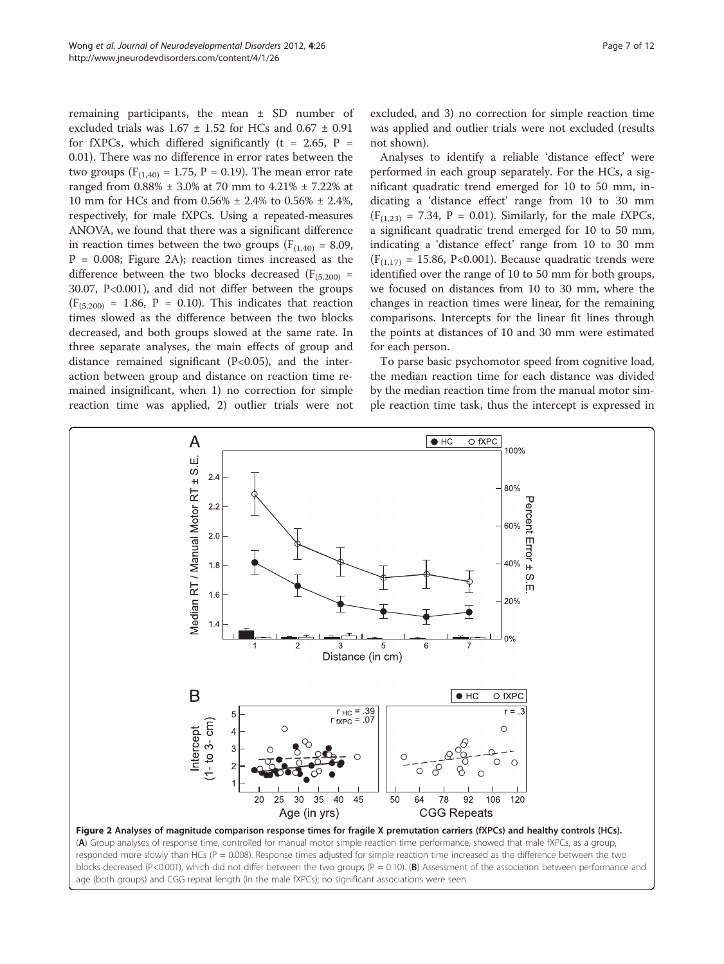<span id="page-6-0"></span>remaining participants, the mean  $\pm$  SD number of excluded trials was  $1.67 \pm 1.52$  for HCs and  $0.67 \pm 0.91$ for fXPCs, which differed significantly ( $t = 2.65$ ,  $P =$ 0.01). There was no difference in error rates between the two groups ( $F_{(1,40)} = 1.75$ ,  $P = 0.19$ ). The mean error rate ranged from 0.88% ± 3.0% at 70 mm to 4.21% ± 7.22% at 10 mm for HCs and from 0.56% ± 2.4% to 0.56% ± 2.4%, respectively, for male fXPCs. Using a repeated-measures ANOVA, we found that there was a significant difference in reaction times between the two groups  $(F<sub>(1,40)</sub> = 8.09)$ ,  $P = 0.008$ ; Figure 2A); reaction times increased as the difference between the two blocks decreased ( $F_{(5,200)}$  = 30.07, P<0.001), and did not differ between the groups  $(F_{(5,200)} = 1.86, P = 0.10)$ . This indicates that reaction times slowed as the difference between the two blocks decreased, and both groups slowed at the same rate. In three separate analyses, the main effects of group and distance remained significant (P<0.05), and the interaction between group and distance on reaction time remained insignificant, when 1) no correction for simple reaction time was applied, 2) outlier trials were not excluded, and 3) no correction for simple reaction time was applied and outlier trials were not excluded (results not shown).

Analyses to identify a reliable 'distance effect' were performed in each group separately. For the HCs, a significant quadratic trend emerged for 10 to 50 mm, indicating a 'distance effect' range from 10 to 30 mm  $(F<sub>(1,23)</sub> = 7.34, P = 0.01)$ . Similarly, for the male fXPCs, a significant quadratic trend emerged for 10 to 50 mm, indicating a 'distance effect' range from 10 to 30 mm  $(F<sub>(1,17)</sub> = 15.86, P<0.001)$ . Because quadratic trends were identified over the range of 10 to 50 mm for both groups, we focused on distances from 10 to 30 mm, where the changes in reaction times were linear, for the remaining comparisons. Intercepts for the linear fit lines through the points at distances of 10 and 30 mm were estimated for each person.

To parse basic psychomotor speed from cognitive load, the median reaction time for each distance was divided by the median reaction time from the manual motor simple reaction time task, thus the intercept is expressed in



blocks decreased (P<0.001), which did not differ between the two groups (P = 0.10). (B) Assessment of the association between performance and age (both groups) and CGG repeat length (in the male fXPCs); no significant associations were seen.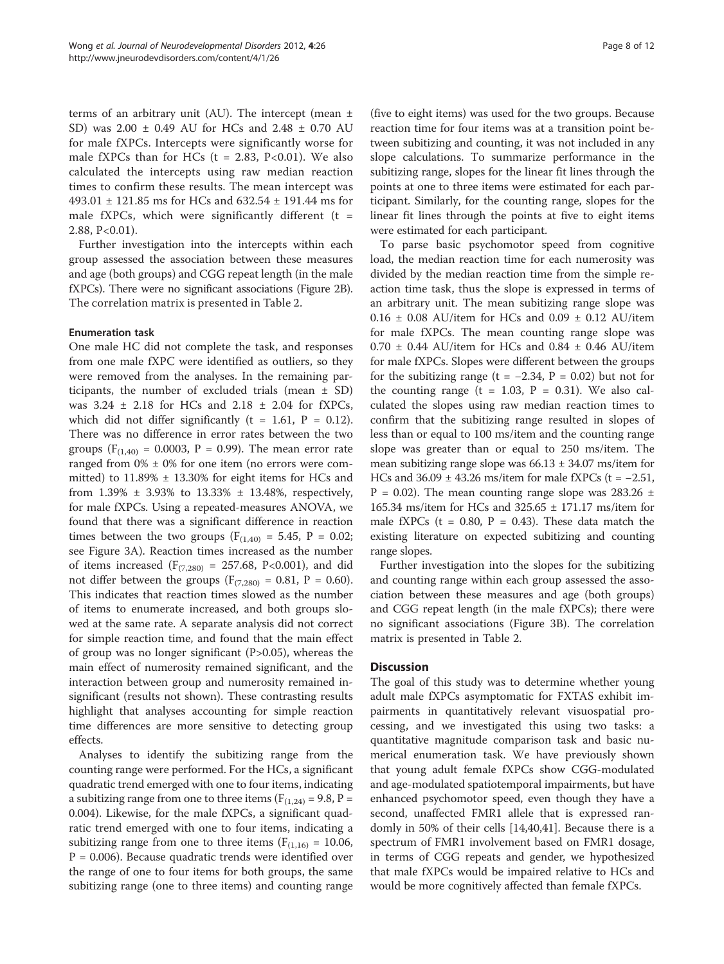terms of an arbitrary unit (AU). The intercept (mean  $\pm$ SD) was 2.00 ± 0.49 AU for HCs and 2.48 ± 0.70 AU for male fXPCs. Intercepts were significantly worse for male fXPCs than for HCs ( $t = 2.83$ , P<0.01). We also calculated the intercepts using raw median reaction times to confirm these results. The mean intercept was 493.01 ± 121.85 ms for HCs and 632.54 ± 191.44 ms for male fXPCs, which were significantly different ( $t =$ 2.88, P<0.01).

Further investigation into the intercepts within each group assessed the association between these measures and age (both groups) and CGG repeat length (in the male fXPCs). There were no significant associations (Figure [2B](#page-6-0)). The correlation matrix is presented in Table [2.](#page-5-0)

#### Enumeration task

One male HC did not complete the task, and responses from one male fXPC were identified as outliers, so they were removed from the analyses. In the remaining participants, the number of excluded trials (mean  $\pm$  SD) was  $3.24 \pm 2.18$  for HCs and  $2.18 \pm 2.04$  for fXPCs, which did not differ significantly ( $t = 1.61$ ,  $P = 0.12$ ). There was no difference in error rates between the two groups ( $F_{(1,40)} = 0.0003$ ,  $P = 0.99$ ). The mean error rate ranged from 0% ± 0% for one item (no errors were committed) to  $11.89\% \pm 13.30\%$  for eight items for HCs and from 1.39% ± 3.93% to 13.33% ± 13.48%, respectively, for male fXPCs. Using a repeated-measures ANOVA, we found that there was a significant difference in reaction times between the two groups ( $F_{(1,40)} = 5.45$ ,  $P = 0.02$ ; see Figure [3](#page-8-0)A). Reaction times increased as the number of items increased ( $F_{(7,280)} = 257.68$ , P<0.001), and did not differ between the groups ( $F_{(7,280)} = 0.81$ ,  $P = 0.60$ ). This indicates that reaction times slowed as the number of items to enumerate increased, and both groups slowed at the same rate. A separate analysis did not correct for simple reaction time, and found that the main effect of group was no longer significant (P>0.05), whereas the main effect of numerosity remained significant, and the interaction between group and numerosity remained insignificant (results not shown). These contrasting results highlight that analyses accounting for simple reaction time differences are more sensitive to detecting group effects.

Analyses to identify the subitizing range from the counting range were performed. For the HCs, a significant quadratic trend emerged with one to four items, indicating a subitizing range from one to three items ( $F_{(1,24)} = 9.8$ , P = 0.004). Likewise, for the male fXPCs, a significant quadratic trend emerged with one to four items, indicating a subitizing range from one to three items ( $F_{(1,16)} = 10.06$ ,  $P = 0.006$ ). Because quadratic trends were identified over the range of one to four items for both groups, the same subitizing range (one to three items) and counting range

(five to eight items) was used for the two groups. Because reaction time for four items was at a transition point between subitizing and counting, it was not included in any slope calculations. To summarize performance in the subitizing range, slopes for the linear fit lines through the points at one to three items were estimated for each participant. Similarly, for the counting range, slopes for the linear fit lines through the points at five to eight items were estimated for each participant.

To parse basic psychomotor speed from cognitive load, the median reaction time for each numerosity was divided by the median reaction time from the simple reaction time task, thus the slope is expressed in terms of an arbitrary unit. The mean subitizing range slope was  $0.16 \pm 0.08$  AU/item for HCs and  $0.09 \pm 0.12$  AU/item for male fXPCs. The mean counting range slope was  $0.70 \pm 0.44$  AU/item for HCs and  $0.84 \pm 0.46$  AU/item for male fXPCs. Slopes were different between the groups for the subitizing range (t =  $-2.34$ , P = 0.02) but not for the counting range ( $t = 1.03$ ,  $P = 0.31$ ). We also calculated the slopes using raw median reaction times to confirm that the subitizing range resulted in slopes of less than or equal to 100 ms/item and the counting range slope was greater than or equal to 250 ms/item. The mean subitizing range slope was  $66.13 \pm 34.07$  ms/item for HCs and  $36.09 \pm 43.26$  ms/item for male fXPCs (t = -2.51, P = 0.02). The mean counting range slope was  $283.26 \pm$ 165.34 ms/item for HCs and 325.65 ± 171.17 ms/item for male fXPCs ( $t = 0.80$ ,  $P = 0.43$ ). These data match the existing literature on expected subitizing and counting range slopes.

Further investigation into the slopes for the subitizing and counting range within each group assessed the association between these measures and age (both groups) and CGG repeat length (in the male fXPCs); there were no significant associations (Figure [3B](#page-8-0)). The correlation matrix is presented in Table [2](#page-5-0).

### **Discussion**

The goal of this study was to determine whether young adult male fXPCs asymptomatic for FXTAS exhibit impairments in quantitatively relevant visuospatial processing, and we investigated this using two tasks: a quantitative magnitude comparison task and basic numerical enumeration task. We have previously shown that young adult female fXPCs show CGG-modulated and age-modulated spatiotemporal impairments, but have enhanced psychomotor speed, even though they have a second, unaffected FMR1 allele that is expressed randomly in 50% of their cells [\[14](#page-10-0)[,40,41\]](#page-11-0). Because there is a spectrum of FMR1 involvement based on FMR1 dosage, in terms of CGG repeats and gender, we hypothesized that male fXPCs would be impaired relative to HCs and would be more cognitively affected than female fXPCs.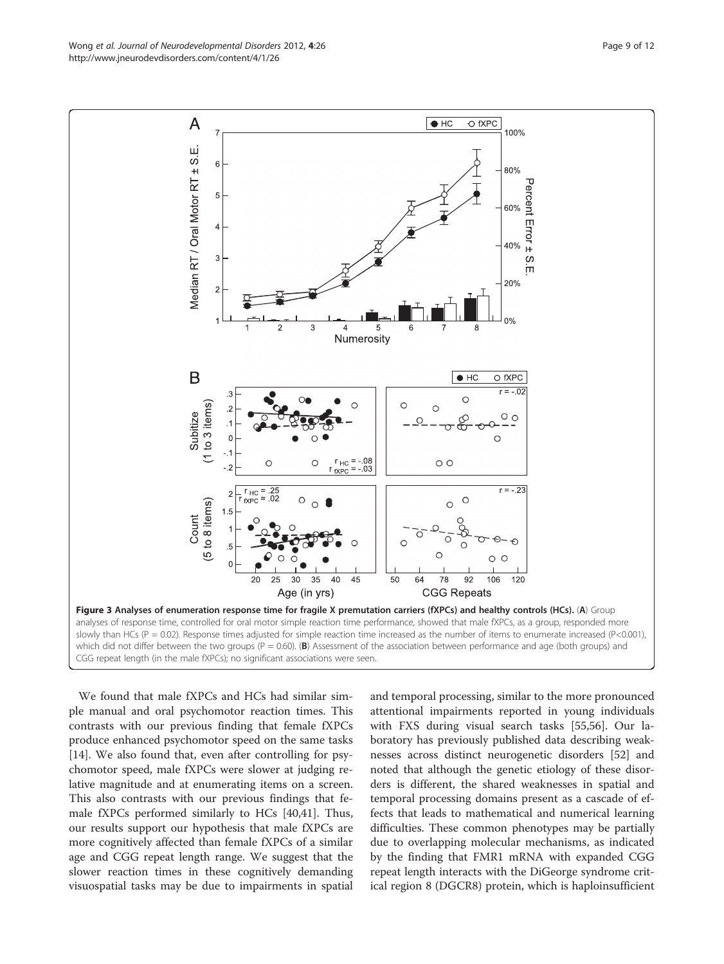We found that male fXPCs and HCs had similar simple manual and oral psychomotor reaction times. This contrasts with our previous finding that female fXPCs produce enhanced psychomotor speed on the same tasks [[14\]](#page-10-0). We also found that, even after controlling for psychomotor speed, male fXPCs were slower at judging relative magnitude and at enumerating items on a screen. This also contrasts with our previous findings that female fXPCs performed similarly to HCs [[40,41](#page-11-0)]. Thus, our results support our hypothesis that male fXPCs are more cognitively affected than female fXPCs of a similar age and CGG repeat length range. We suggest that the slower reaction times in these cognitively demanding visuospatial tasks may be due to impairments in spatial and temporal processing, similar to the more pronounced attentional impairments reported in young individuals with FXS during visual search tasks [[55,56\]](#page-11-0). Our laboratory has previously published data describing weaknesses across distinct neurogenetic disorders [\[52](#page-11-0)] and noted that although the genetic etiology of these disorders is different, the shared weaknesses in spatial and temporal processing domains present as a cascade of effects that leads to mathematical and numerical learning difficulties. These common phenotypes may be partially due to overlapping molecular mechanisms, as indicated by the finding that FMR1 mRNA with expanded CGG repeat length interacts with the DiGeorge syndrome critical region 8 (DGCR8) protein, which is haploinsufficient



<span id="page-8-0"></span>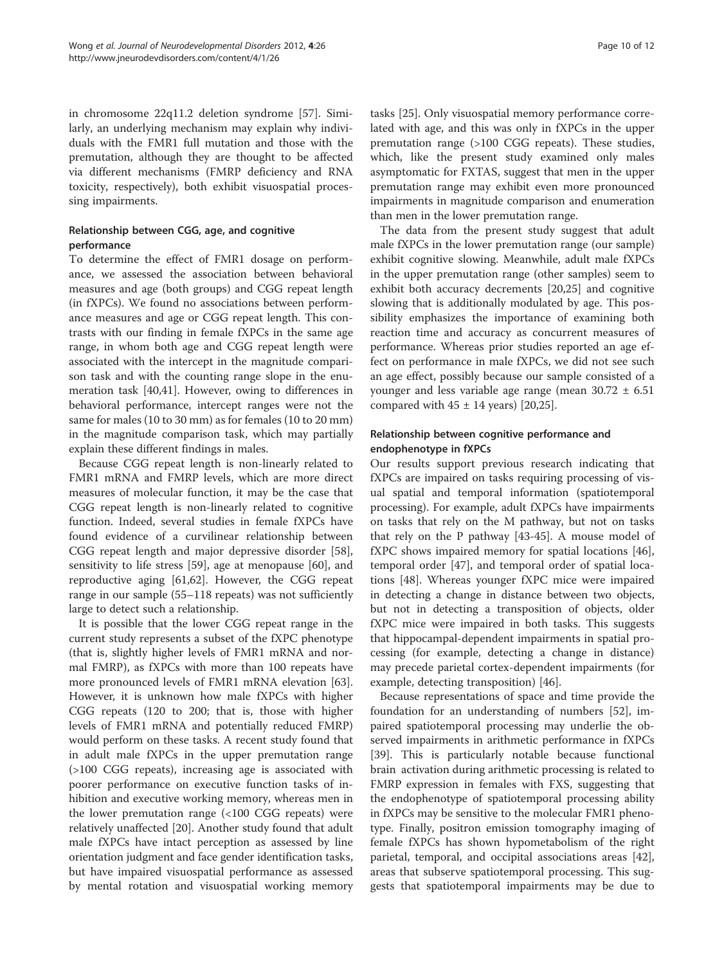in chromosome 22q11.2 deletion syndrome [[57\]](#page-11-0). Similarly, an underlying mechanism may explain why individuals with the FMR1 full mutation and those with the premutation, although they are thought to be affected via different mechanisms (FMRP deficiency and RNA toxicity, respectively), both exhibit visuospatial processing impairments.

# Relationship between CGG, age, and cognitive performance

To determine the effect of FMR1 dosage on performance, we assessed the association between behavioral measures and age (both groups) and CGG repeat length (in fXPCs). We found no associations between performance measures and age or CGG repeat length. This contrasts with our finding in female fXPCs in the same age range, in whom both age and CGG repeat length were associated with the intercept in the magnitude comparison task and with the counting range slope in the enumeration task [[40,41\]](#page-11-0). However, owing to differences in behavioral performance, intercept ranges were not the same for males (10 to 30 mm) as for females (10 to 20 mm) in the magnitude comparison task, which may partially explain these different findings in males.

Because CGG repeat length is non-linearly related to FMR1 mRNA and FMRP levels, which are more direct measures of molecular function, it may be the case that CGG repeat length is non-linearly related to cognitive function. Indeed, several studies in female fXPCs have found evidence of a curvilinear relationship between CGG repeat length and major depressive disorder [\[58](#page-11-0)], sensitivity to life stress [\[59](#page-11-0)], age at menopause [[60\]](#page-11-0), and reproductive aging [\[61,62\]](#page-11-0). However, the CGG repeat range in our sample (55–118 repeats) was not sufficiently large to detect such a relationship.

It is possible that the lower CGG repeat range in the current study represents a subset of the fXPC phenotype (that is, slightly higher levels of FMR1 mRNA and normal FMRP), as fXPCs with more than 100 repeats have more pronounced levels of FMR1 mRNA elevation [\[63](#page-11-0)]. However, it is unknown how male fXPCs with higher CGG repeats (120 to 200; that is, those with higher levels of FMR1 mRNA and potentially reduced FMRP) would perform on these tasks. A recent study found that in adult male fXPCs in the upper premutation range (>100 CGG repeats), increasing age is associated with poorer performance on executive function tasks of inhibition and executive working memory, whereas men in the lower premutation range (<100 CGG repeats) were relatively unaffected [[20](#page-10-0)]. Another study found that adult male fXPCs have intact perception as assessed by line orientation judgment and face gender identification tasks, but have impaired visuospatial performance as assessed by mental rotation and visuospatial working memory

tasks [\[25\]](#page-11-0). Only visuospatial memory performance correlated with age, and this was only in fXPCs in the upper premutation range (>100 CGG repeats). These studies, which, like the present study examined only males asymptomatic for FXTAS, suggest that men in the upper premutation range may exhibit even more pronounced impairments in magnitude comparison and enumeration than men in the lower premutation range.

The data from the present study suggest that adult male fXPCs in the lower premutation range (our sample) exhibit cognitive slowing. Meanwhile, adult male fXPCs in the upper premutation range (other samples) seem to exhibit both accuracy decrements [[20](#page-10-0),[25](#page-11-0)] and cognitive slowing that is additionally modulated by age. This possibility emphasizes the importance of examining both reaction time and accuracy as concurrent measures of performance. Whereas prior studies reported an age effect on performance in male fXPCs, we did not see such an age effect, possibly because our sample consisted of a younger and less variable age range (mean  $30.72 \pm 6.51$ compared with  $45 \pm 14$  years) [\[20](#page-10-0)[,25](#page-11-0)].

# Relationship between cognitive performance and endophenotype in fXPCs

Our results support previous research indicating that fXPCs are impaired on tasks requiring processing of visual spatial and temporal information (spatiotemporal processing). For example, adult fXPCs have impairments on tasks that rely on the M pathway, but not on tasks that rely on the P pathway [\[43](#page-11-0)-[45\]](#page-11-0). A mouse model of fXPC shows impaired memory for spatial locations [\[46](#page-11-0)], temporal order [[47\]](#page-11-0), and temporal order of spatial locations [\[48\]](#page-11-0). Whereas younger fXPC mice were impaired in detecting a change in distance between two objects, but not in detecting a transposition of objects, older fXPC mice were impaired in both tasks. This suggests that hippocampal-dependent impairments in spatial processing (for example, detecting a change in distance) may precede parietal cortex-dependent impairments (for example, detecting transposition) [[46\]](#page-11-0).

Because representations of space and time provide the foundation for an understanding of numbers [\[52](#page-11-0)], impaired spatiotemporal processing may underlie the observed impairments in arithmetic performance in fXPCs [[39\]](#page-11-0). This is particularly notable because functional brain activation during arithmetic processing is related to FMRP expression in females with FXS, suggesting that the endophenotype of spatiotemporal processing ability in fXPCs may be sensitive to the molecular FMR1 phenotype. Finally, positron emission tomography imaging of female fXPCs has shown hypometabolism of the right parietal, temporal, and occipital associations areas [\[42](#page-11-0)], areas that subserve spatiotemporal processing. This suggests that spatiotemporal impairments may be due to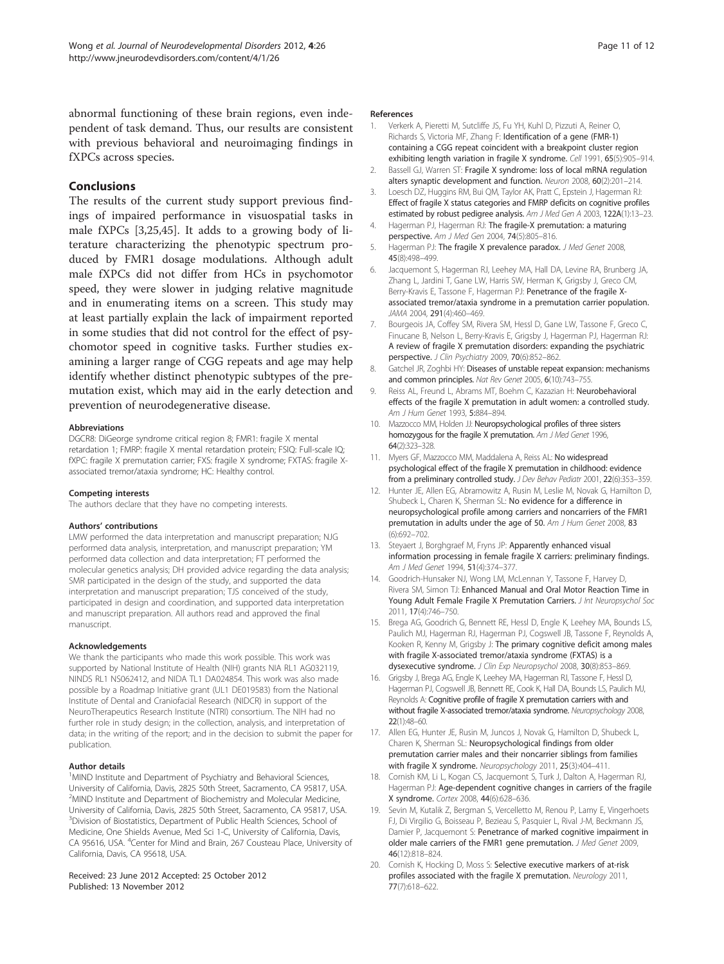<span id="page-10-0"></span>abnormal functioning of these brain regions, even independent of task demand. Thus, our results are consistent with previous behavioral and neuroimaging findings in fXPCs across species.

### Conclusions

The results of the current study support previous findings of impaired performance in visuospatial tasks in male fXPCs [3,[25,45\]](#page-11-0). It adds to a growing body of literature characterizing the phenotypic spectrum produced by FMR1 dosage modulations. Although adult male fXPCs did not differ from HCs in psychomotor speed, they were slower in judging relative magnitude and in enumerating items on a screen. This study may at least partially explain the lack of impairment reported in some studies that did not control for the effect of psychomotor speed in cognitive tasks. Further studies examining a larger range of CGG repeats and age may help identify whether distinct phenotypic subtypes of the premutation exist, which may aid in the early detection and prevention of neurodegenerative disease.

#### Abbreviations

DGCR8: DiGeorge syndrome critical region 8; FMR1: fragile X mental retardation 1; FMRP: fragile X mental retardation protein; FSIQ: Full-scale IQ; fXPC: fragile X premutation carrier; FXS: fragile X syndrome; FXTAS: fragile Xassociated tremor/ataxia syndrome; HC: Healthy control.

#### Competing interests

The authors declare that they have no competing interests.

#### Authors' contributions

LMW performed the data interpretation and manuscript preparation; NJG performed data analysis, interpretation, and manuscript preparation; YM performed data collection and data interpretation; FT performed the molecular genetics analysis; DH provided advice regarding the data analysis; SMR participated in the design of the study, and supported the data interpretation and manuscript preparation; TJS conceived of the study, participated in design and coordination, and supported data interpretation and manuscript preparation. All authors read and approved the final manuscript.

#### Acknowledgements

We thank the participants who made this work possible. This work was supported by National Institute of Health (NIH) grants NIA RL1 AG032119, NINDS RL1 NS062412, and NIDA TL1 DA024854. This work was also made possible by a Roadmap Initiative grant (UL1 DE019583) from the National Institute of Dental and Craniofacial Research (NIDCR) in support of the NeuroTherapeutics Research Institute (NTRI) consortium. The NIH had no further role in study design; in the collection, analysis, and interpretation of data; in the writing of the report; and in the decision to submit the paper for publication.

#### Author details

<sup>1</sup>MIND Institute and Department of Psychiatry and Behavioral Sciences, University of California, Davis, 2825 50th Street, Sacramento, CA 95817, USA. <sup>2</sup>MIND Institute and Department of Biochemistry and Molecular Medicine, University of California, Davis, 2825 50th Street, Sacramento, CA 95817, USA. <sup>3</sup>Division of Biostatistics, Department of Public Health Sciences, School of Medicine, One Shields Avenue, Med Sci 1-C, University of California, Davis, CA 95616, USA. <sup>4</sup>Center for Mind and Brain, 267 Cousteau Place, University of California, Davis, CA 95618, USA.

#### Received: 23 June 2012 Accepted: 25 October 2012 Published: 13 November 2012

#### References

- 1. Verkerk A, Pieretti M, Sutcliffe JS, Fu YH, Kuhl D, Pizzuti A, Reiner O, Richards S, Victoria MF, Zhang F: Identification of a gene (FMR-1) containing a CGG repeat coincident with a breakpoint cluster region exhibiting length variation in fragile X syndrome. Cell 1991, 65(5):905-914.
- 2. Bassell GJ, Warren ST: Fragile X syndrome: loss of local mRNA regulation alters synaptic development and function. Neuron 2008, 60(2):201–214.
- 3. Loesch DZ, Huggins RM, Bui QM, Taylor AK, Pratt C, Epstein J, Hagerman RJ: Effect of fragile X status categories and FMRP deficits on cognitive profiles estimated by robust pedigree analysis. Am J Med Gen A 2003, 122A(1):13-23.
- 4. Hagerman PJ, Hagerman RJ: The fragile-X premutation: a maturing perspective. Am J Med Gen 2004, 74(5):805–816.
- 5. Hagerman PJ: The fragile X prevalence paradox. J Med Genet 2008, 45(8):498–499.
- 6. Jacquemont S, Hagerman RJ, Leehey MA, Hall DA, Levine RA, Brunberg JA, Zhang L, Jardini T, Gane LW, Harris SW, Herman K, Grigsby J, Greco CM, Berry-Kravis E, Tassone F, Hagerman PJ: Penetrance of the fragile Xassociated tremor/ataxia syndrome in a premutation carrier population. JAMA 2004, 291(4):460–469.
- Bourgeois JA, Coffey SM, Rivera SM, Hessl D, Gane LW, Tassone F, Greco C, Finucane B, Nelson L, Berry-Kravis E, Grigsby J, Hagerman PJ, Hagerman RJ: A review of fragile X premutation disorders: expanding the psychiatric perspective. J Clin Psychiatry 2009, 70(6):852-862.
- 8. Gatchel JR, Zoghbi HY: Diseases of unstable repeat expansion: mechanisms and common principles. Nat Rev Genet 2005, 6(10):743–755.
- 9. Reiss AL, Freund L, Abrams MT, Boehm C, Kazazian H: Neurobehavioral effects of the fragile X premutation in adult women: a controlled study. Am J Hum Genet 1993, 5:884–894.
- 10. Mazzocco MM, Holden JJ: Neuropsychological profiles of three sisters homozygous for the fragile X premutation. Am J Med Genet 1996, 64(2):323–328.
- 11. Myers GF, Mazzocco MM, Maddalena A, Reiss AL: No widespread psychological effect of the fragile X premutation in childhood: evidence from a preliminary controlled study. J Dev Behav Pediatr 2001, 22(6):353-359.
- 12. Hunter JE, Allen EG, Abramowitz A, Rusin M, Leslie M, Novak G, Hamilton D, Shubeck L, Charen K, Sherman SL: No evidence for a difference in neuropsychological profile among carriers and noncarriers of the FMR1 premutation in adults under the age of 50. Am J Hum Genet 2008, 83 (6):692–702.
- 13. Steyaert J, Borghgraef M, Fryns JP: Apparently enhanced visual information processing in female fragile X carriers: preliminary findings. Am J Med Genet 1994, 51(4):374–377.
- 14. Goodrich-Hunsaker NJ, Wong LM, McLennan Y, Tassone F, Harvey D, Rivera SM, Simon TJ: Enhanced Manual and Oral Motor Reaction Time in Young Adult Female Fragile X Premutation Carriers. J Int Neuropsychol Soc 2011, 17(4):746–750.
- 15. Brega AG, Goodrich G, Bennett RE, Hessl D, Engle K, Leehey MA, Bounds LS, Paulich MJ, Hagerman RJ, Hagerman PJ, Cogswell JB, Tassone F, Reynolds A, Kooken R, Kenny M, Grigsby J: The primary cognitive deficit among males with fragile X-associated tremor/ataxia syndrome (FXTAS) is a dysexecutive syndrome. J Clin Exp Neuropsychol 2008, 30(8):853-869.
- 16. Grigsby J, Brega AG, Engle K, Leehey MA, Hagerman RJ, Tassone F, Hessl D, Hagerman PJ, Cogswell JB, Bennett RE, Cook K, Hall DA, Bounds LS, Paulich MJ, Reynolds A: Cognitive profile of fragile X premutation carriers with and without fragile X-associated tremor/ataxia syndrome. Neuropsychology 2008, 22(1):48–60.
- 17. Allen EG, Hunter JE, Rusin M, Juncos J, Novak G, Hamilton D, Shubeck L, Charen K, Sherman SL: Neuropsychological findings from older premutation carrier males and their noncarrier siblings from families with fragile X syndrome. Neuropsychology 2011, 25(3):404–411.
- 18. Cornish KM, Li L, Kogan CS, Jacquemont S, Turk J, Dalton A, Hagerman RJ, Hagerman PJ: Age-dependent cognitive changes in carriers of the fragile X syndrome. Cortex 2008, 44(6):628–636.
- 19. Sevin M, Kutalik Z, Bergman S, Vercelletto M, Renou P, Lamy E, Vingerhoets FJ, Di Virgilio G, Boisseau P, Bezieau S, Pasquier L, Rival J-M, Beckmann JS, Damier P, Jacquemont S: Penetrance of marked cognitive impairment in older male carriers of the FMR1 gene premutation. J Med Genet 2009, 46(12):818–824.
- 20. Cornish K, Hocking D, Moss S: Selective executive markers of at-risk profiles associated with the fragile X premutation. Neurology 2011, 77(7):618–622.